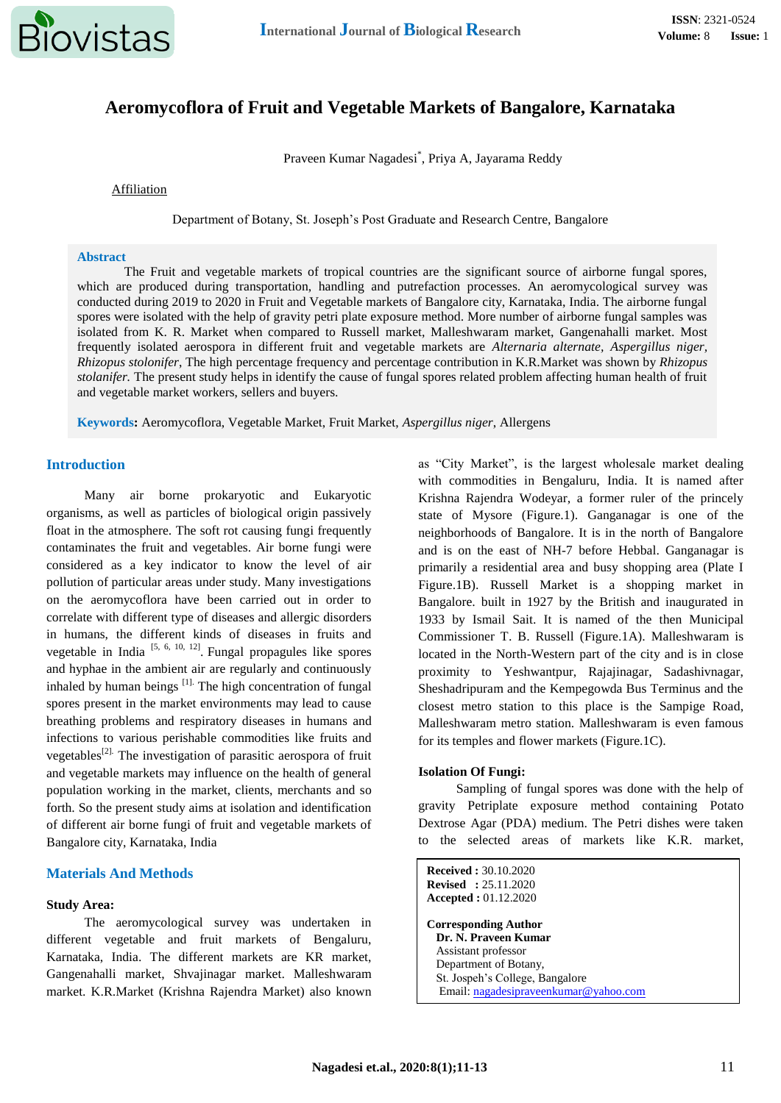

# **Aeromycoflora of Fruit and Vegetable Markets of Bangalore, Karnataka**

Praveen Kumar Nagadesi\* , Priya A, Jayarama Reddy

Affiliation

Department of Botany, St. Joseph's Post Graduate and Research Centre, Bangalore

#### **Abstract**

The Fruit and vegetable markets of tropical countries are the significant source of airborne fungal spores, which are produced during transportation, handling and putrefaction processes. An aeromycological survey was conducted during 2019 to 2020 in Fruit and Vegetable markets of Bangalore city, Karnataka, India. The airborne fungal spores were isolated with the help of gravity petri plate exposure method. More number of airborne fungal samples was isolated from K. R. Market when compared to Russell market, Malleshwaram market, Gangenahalli market. Most frequently isolated aerospora in different fruit and vegetable markets are *Alternaria alternate, Aspergillus niger, Rhizopus stolonifer*, The high percentage frequency and percentage contribution in K.R.Market was shown by *Rhizopus stolanifer.* The present study helps in identify the cause of fungal spores related problem affecting human health of fruit and vegetable market workers, sellers and buyers.

**Keywords:** Aeromycoflora, Vegetable Market, Fruit Market, *Aspergillus niger*, Allergens

# **Introduction**

Many air borne prokaryotic and Eukaryotic organisms, as well as particles of biological origin passively float in the atmosphere. The soft rot causing fungi frequently contaminates the fruit and vegetables. Air borne fungi were considered as a key indicator to know the level of air pollution of particular areas under study. Many investigations on the aeromycoflora have been carried out in order to correlate with different type of diseases and allergic disorders in humans, the different kinds of diseases in fruits and vegetable in India  $[5, 6, 10, 12]$ . Fungal propagules like spores and hyphae in the ambient air are regularly and continuously inhaled by human beings  $\left[1\right]$ . The high concentration of fungal spores present in the market environments may lead to cause breathing problems and respiratory diseases in humans and infections to various perishable commodities like fruits and vegetables<sup>[2].</sup> The investigation of parasitic aerospora of fruit and vegetable markets may influence on the health of general population working in the market, clients, merchants and so forth. So the present study aims at isolation and identification of different air borne fungi of fruit and vegetable markets of Bangalore city, Karnataka, India

## **Materials And Methods**

#### **Study Area:**

The aeromycological survey was undertaken in different vegetable and fruit markets of Bengaluru, Karnataka, India. The different markets are KR market, Gangenahalli market, Shvajinagar market. Malleshwaram market. K.R.Market (Krishna Rajendra Market) also known as "City Market", is the largest wholesale market dealing with commodities in Bengaluru, India. It is named after Krishna Rajendra Wodeyar, a former ruler of the princely state of Mysore (Figure.1). Ganganagar is one of the neighborhoods of Bangalore. It is in the north of Bangalore and is on the east of NH-7 before Hebbal. Ganganagar is primarily a residential area and busy shopping area (Plate I Figure.1B). Russell Market is a shopping market in Bangalore. built in 1927 by the British and inaugurated in 1933 by Ismail Sait. It is named of the then Municipal Commissioner T. B. Russell (Figure.1A). Malleshwaram is located in the North-Western part of the city and is in close proximity to Yeshwantpur, Rajajinagar, Sadashivnagar, Sheshadripuram and the Kempegowda Bus Terminus and the closest metro station to this place is the Sampige Road, Malleshwaram metro station. Malleshwaram is even famous for its temples and flower markets (Figure.1C).

#### **Isolation Of Fungi:**

Sampling of fungal spores was done with the help of gravity Petriplate exposure method containing Potato Dextrose Agar (PDA) medium. The Petri dishes were taken to the selected areas of markets like K.R. market,

**Received :** 30.10.2020 **Revised :** 25.11.2020 **Accepted :** 01.12.2020 **Corresponding Author Dr. N. Praveen Kumar** Assistant professor Department of Botany, St. Jospeh's College, Bangalore Email: [nagadesipraveenkumar@yahoo.com](mailto:nagadesipraveenkumar@yahoo.com)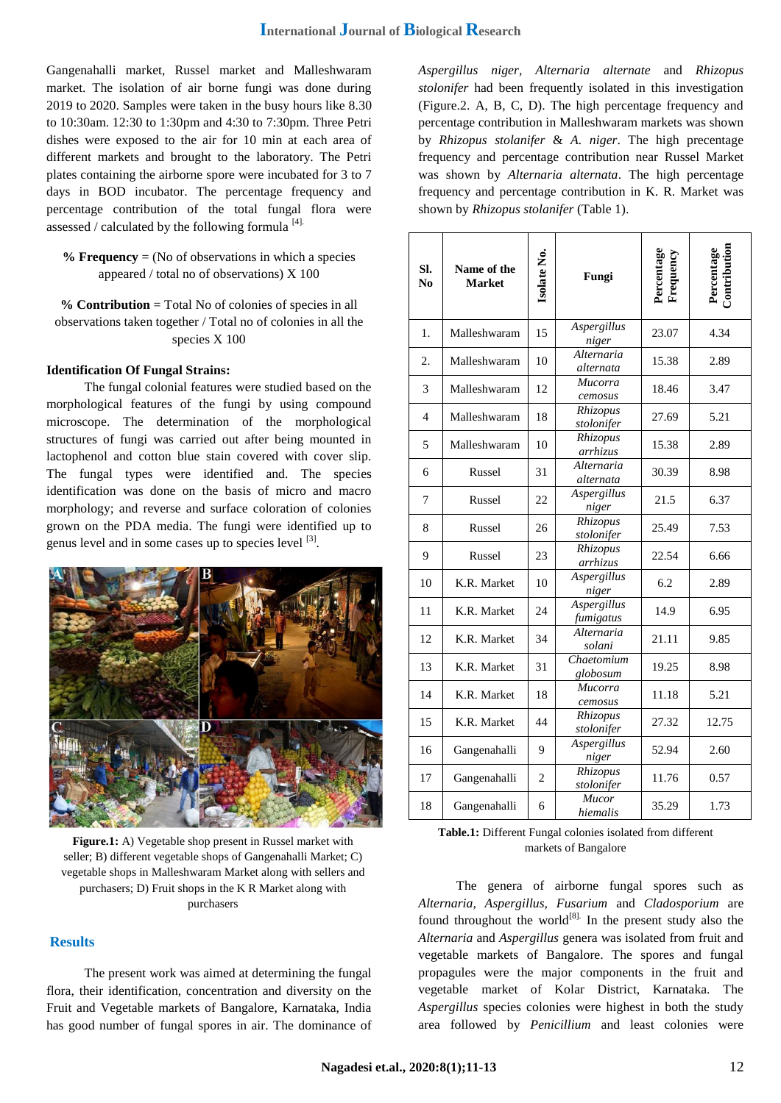Gangenahalli market, Russel market and Malleshwaram market. The isolation of air borne fungi was done during 2019 to 2020. Samples were taken in the busy hours like 8.30 to 10:30am. 12:30 to 1:30pm and 4:30 to 7:30pm. Three Petri dishes were exposed to the air for 10 min at each area of different markets and brought to the laboratory. The Petri plates containing the airborne spore were incubated for 3 to 7 days in BOD incubator. The percentage frequency and percentage contribution of the total fungal flora were assessed / calculated by the following formula  $^{[4]}$ .

## **% Frequency** = (No of observations in which a species appeared / total no of observations) X 100

**% Contribution** = Total No of colonies of species in all observations taken together / Total no of colonies in all the species X 100

#### **Identification Of Fungal Strains:**

The fungal colonial features were studied based on the morphological features of the fungi by using compound microscope. The determination of the morphological structures of fungi was carried out after being mounted in lactophenol and cotton blue stain covered with cover slip. The fungal types were identified and. The species identification was done on the basis of micro and macro morphology; and reverse and surface coloration of colonies grown on the PDA media. The fungi were identified up to genus level and in some cases up to species level <sup>[3]</sup>.



Figure.1: A) Vegetable shop present in Russel market with markets of Bangalore seller; B) different vegetable shops of Gangenahalli Market; C) vegetable shops in Malleshwaram Market along with sellers and purchasers; D) Fruit shops in the K R Market along with purchasers

## **Results**

The present work was aimed at determining the fungal flora, their identification, concentration and diversity on the Fruit and Vegetable markets of Bangalore, Karnataka, India has good number of fungal spores in air. The dominance of *Aspergillus niger, Alternaria alternate* and *Rhizopus stolonifer* had been frequently isolated in this investigation (Figure.2. A, B, C, D). The high percentage frequency and percentage contribution in Malleshwaram markets was shown by *Rhizopus stolanifer* & *A. niger*. The high precentage frequency and percentage contribution near Russel Market was shown by *Alternaria alternata*. The high percentage frequency and percentage contribution in K. R. Market was shown by *Rhizopus stolanifer* (Table 1).

| SI.<br>N <sub>0</sub> | Name of the<br><b>Market</b> | Isolate No.    | Fungi                    | Percentage<br>Frequency | Contribution<br>Percentage |
|-----------------------|------------------------------|----------------|--------------------------|-------------------------|----------------------------|
| 1.                    | Malleshwaram                 | 15             | Aspergillus<br>niger     | 23.07                   | 4.34                       |
| 2.                    | Malleshwaram                 | 10             | Alternaria<br>alternata  | 15.38                   | 2.89                       |
| 3                     | Malleshwaram                 | 12             | Mucorra<br>cemosus       | 18.46                   | 3.47                       |
| $\overline{4}$        | Malleshwaram                 | 18             | Rhizopus<br>stolonifer   | 27.69                   | 5.21                       |
| 5                     | Malleshwaram                 | 10             | Rhizopus<br>arrhizus     | 15.38                   | 2.89                       |
| 6                     | Russel                       | 31             | Alternaria<br>alternata  | 30.39                   | 8.98                       |
| 7                     | Russel                       | 22             | Aspergillus<br>niger     | 21.5                    | 6.37                       |
| 8                     | Russel                       | 26             | Rhizopus<br>stolonifer   | 25.49                   | 7.53                       |
| 9                     | Russel                       | 23             | Rhizopus<br>arrhizus     | 22.54                   | 6.66                       |
| 10                    | K.R. Market                  | 10             | Aspergillus<br>niger     | 6.2                     | 2.89                       |
| 11                    | K.R. Market                  | 24             | Aspergillus<br>fumigatus | 14.9                    | 6.95                       |
| 12                    | K.R. Market                  | 34             | Alternaria<br>solani     | 21.11                   | 9.85                       |
| 13                    | K.R. Market                  | 31             | Chaetomium<br>globosum   | 19.25                   | 8.98                       |
| 14                    | K.R. Market                  | 18             | Mucorra<br>cemosus       | 11.18                   | 5.21                       |
| 15                    | K.R. Market                  | 44             | Rhizopus<br>stolonifer   | 27.32                   | 12.75                      |
| 16                    | Gangenahalli                 | 9              | Aspergillus<br>niger     | 52.94                   | 2.60                       |
| 17                    | Gangenahalli                 | $\overline{c}$ | Rhizopus<br>stolonifer   | 11.76                   | 0.57                       |
| 18                    | Gangenahalli                 | 6              | <b>Mucor</b><br>hiemalis | 35.29                   | 1.73                       |

**Table.1:** Different Fungal colonies isolated from different

The genera of airborne fungal spores such as *Alternaria, Aspergillus, Fusarium* and *Cladosporium* are found throughout the world $[8]$ . In the present study also the *Alternaria* and *Aspergillus* genera was isolated from fruit and vegetable markets of Bangalore. The spores and fungal propagules were the major components in the fruit and vegetable market of Kolar District, Karnataka. The *Aspergillus* species colonies were highest in both the study area followed by *Penicillium* and least colonies were